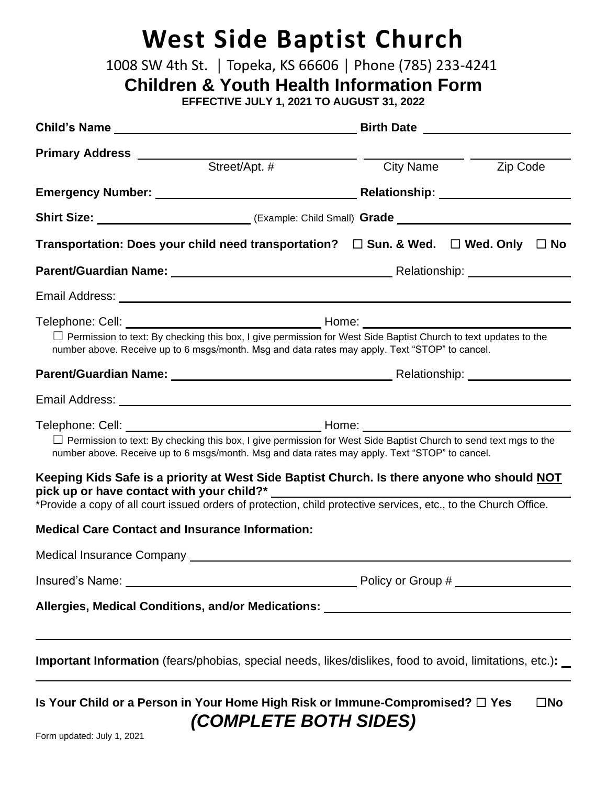## **West Side Baptist Church**

1008 SW 4th St. | Topeka, KS 66606 | Phone (785) 233-4241

**Children & Youth Health Information Form**

**EFFECTIVE JULY 1, 2021 TO AUGUST 31, 2022**

| Primary Address _________                                                                                                                                                                                                                                                                                                |                    |
|--------------------------------------------------------------------------------------------------------------------------------------------------------------------------------------------------------------------------------------------------------------------------------------------------------------------------|--------------------|
| Street/Apt. #                                                                                                                                                                                                                                                                                                            | City Name Zip Code |
| Emergency Number: Manual Manual Manual Melationship: Melationship: Manual Melationship:                                                                                                                                                                                                                                  |                    |
|                                                                                                                                                                                                                                                                                                                          |                    |
| Transportation: Does your child need transportation? $\square$ Sun. & Wed. $\square$ Wed. Only $\square$ No                                                                                                                                                                                                              |                    |
|                                                                                                                                                                                                                                                                                                                          |                    |
|                                                                                                                                                                                                                                                                                                                          |                    |
| $\Box$ Permission to text: By checking this box, I give permission for West Side Baptist Church to text updates to the<br>number above. Receive up to 6 msgs/month. Msg and data rates may apply. Text "STOP" to cancel.                                                                                                 |                    |
|                                                                                                                                                                                                                                                                                                                          |                    |
|                                                                                                                                                                                                                                                                                                                          |                    |
| $\Box$ Permission to text: By checking this box, I give permission for West Side Baptist Church to send text mgs to the<br>number above. Receive up to 6 msgs/month. Msg and data rates may apply. Text "STOP" to cancel.<br>Keeping Kids Safe is a priority at West Side Baptist Church. Is there anyone who should NOT |                    |
| pick up or have contact with your child?*<br>*Provide a copy of all court issued orders of protection, child protective services, etc., to the Church Office.                                                                                                                                                            |                    |
| <b>Medical Care Contact and Insurance Information:</b>                                                                                                                                                                                                                                                                   |                    |
| Medical Insurance Company                                                                                                                                                                                                                                                                                                |                    |
|                                                                                                                                                                                                                                                                                                                          |                    |
| Allergies, Medical Conditions, and/or Medications: _____________________________                                                                                                                                                                                                                                         |                    |
| <b>Important Information</b> (fears/phobias, special needs, likes/dislikes, food to avoid, limitations, etc.):                                                                                                                                                                                                           |                    |
| Is Your Child or a Person in Your Home High Risk or Immune-Compromised? □ Yes<br>$\square$ No<br><i>(COMPLETE BOTH SIDES)</i>                                                                                                                                                                                            |                    |